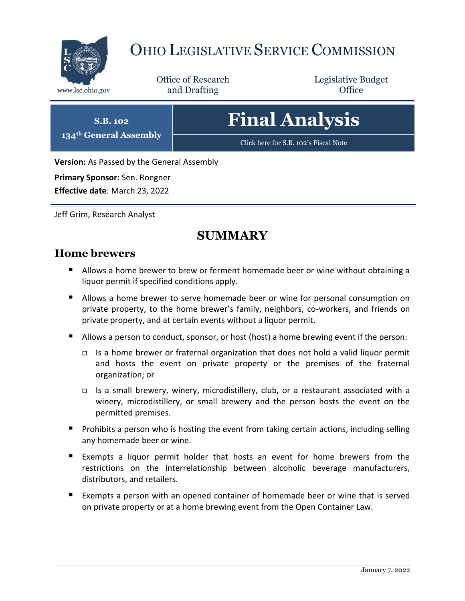

# OHIO LEGISLATIVE SERVICE COMMISSION

Office of Research www.lsc.ohio.gov **and Drafting Office** 

Legislative Budget

# **Final Analysis**

[Click here for S.B. 102](https://www.legislature.ohio.gov/legislation/legislation-documents?id=GA134-SB-102)'s Fiscal Note

**Version:** As Passed by the General Assembly

**Primary Sponsor:** Sen. Roegner

**S.B. 102 134th General Assembly**

**Effective date**: March 23, 2022

Jeff Grim, Research Analyst

## **SUMMARY**

#### **Home brewers**

- Allows a home brewer to brew or ferment homemade beer or wine without obtaining a liquor permit if specified conditions apply.
- Allows a home brewer to serve homemade beer or wine for personal consumption on private property, to the home brewer's family, neighbors, co-workers, and friends on private property, and at certain events without a liquor permit.
- Allows a person to conduct, sponsor, or host (host) a home brewing event if the person:
	- $\Box$  Is a home brewer or fraternal organization that does not hold a valid liquor permit and hosts the event on private property or the premises of the fraternal organization; or
	- $\Box$  Is a small brewery, winery, microdistillery, club, or a restaurant associated with a winery, microdistillery, or small brewery and the person hosts the event on the permitted premises.
- **Prohibits a person who is hosting the event from taking certain actions, including selling** any homemade beer or wine.
- Exempts a liquor permit holder that hosts an event for home brewers from the restrictions on the interrelationship between alcoholic beverage manufacturers, distributors, and retailers.
- Exempts a person with an opened container of homemade beer or wine that is served on private property or at a home brewing event from the Open Container Law.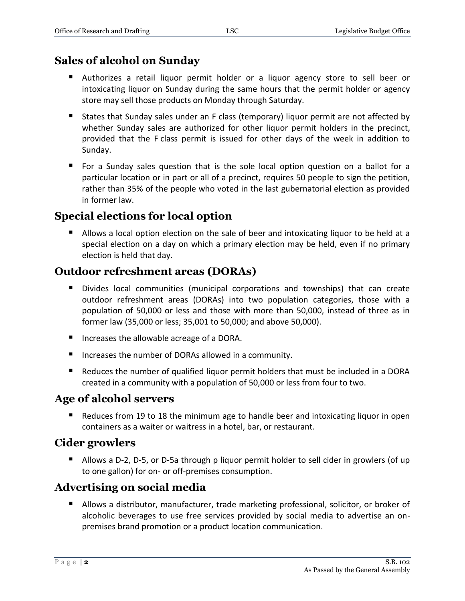### **Sales of alcohol on Sunday**

- Authorizes a retail liquor permit holder or a liquor agency store to sell beer or intoxicating liquor on Sunday during the same hours that the permit holder or agency store may sell those products on Monday through Saturday.
- States that Sunday sales under an F class (temporary) liquor permit are not affected by whether Sunday sales are authorized for other liquor permit holders in the precinct, provided that the F class permit is issued for other days of the week in addition to Sunday.
- For a Sunday sales question that is the sole local option question on a ballot for a particular location or in part or all of a precinct, requires 50 people to sign the petition, rather than 35% of the people who voted in the last gubernatorial election as provided in former law.

### **Special elections for local option**

 Allows a local option election on the sale of beer and intoxicating liquor to be held at a special election on a day on which a primary election may be held, even if no primary election is held that day.

### **Outdoor refreshment areas (DORAs)**

- Divides local communities (municipal corporations and townships) that can create outdoor refreshment areas (DORAs) into two population categories, those with a population of 50,000 or less and those with more than 50,000, instead of three as in former law (35,000 or less; 35,001 to 50,000; and above 50,000).
- Increases the allowable acreage of a DORA.
- Increases the number of DORAs allowed in a community.
- Reduces the number of qualified liquor permit holders that must be included in a DORA created in a community with a population of 50,000 or less from four to two.

### **Age of alcohol servers**

■ Reduces from 19 to 18 the minimum age to handle beer and intoxicating liquor in open containers as a waiter or waitress in a hotel, bar, or restaurant.

### **Cider growlers**

■ Allows a D-2, D-5, or D-5a through p liquor permit holder to sell cider in growlers (of up to one gallon) for on- or off-premises consumption.

### **Advertising on social media**

 Allows a distributor, manufacturer, trade marketing professional, solicitor, or broker of alcoholic beverages to use free services provided by social media to advertise an onpremises brand promotion or a product location communication.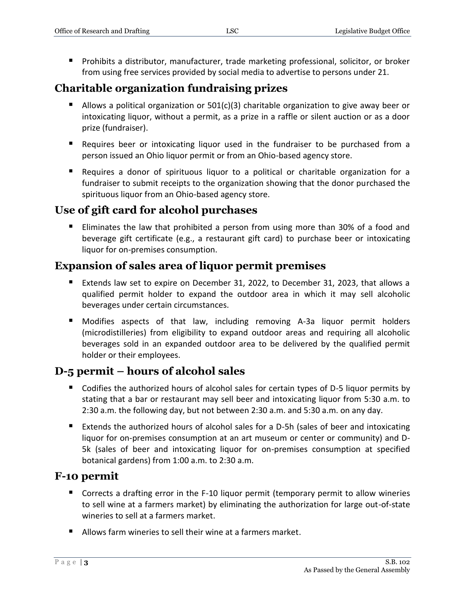**Prohibits a distributor, manufacturer, trade marketing professional, solicitor, or broker** from using free services provided by social media to advertise to persons under 21.

### **Charitable organization fundraising prizes**

- Allows a political organization or  $501(c)(3)$  charitable organization to give away beer or intoxicating liquor, without a permit, as a prize in a raffle or silent auction or as a door prize (fundraiser).
- Requires beer or intoxicating liquor used in the fundraiser to be purchased from a person issued an Ohio liquor permit or from an Ohio-based agency store.
- Requires a donor of spirituous liquor to a political or charitable organization for a fundraiser to submit receipts to the organization showing that the donor purchased the spirituous liquor from an Ohio-based agency store.

### **Use of gift card for alcohol purchases**

■ Eliminates the law that prohibited a person from using more than 30% of a food and beverage gift certificate (e.g., a restaurant gift card) to purchase beer or intoxicating liquor for on-premises consumption.

### **Expansion of sales area of liquor permit premises**

- Extends law set to expire on December 31, 2022, to December 31, 2023, that allows a qualified permit holder to expand the outdoor area in which it may sell alcoholic beverages under certain circumstances.
- Modifies aspects of that law, including removing A-3a liquor permit holders (microdistilleries) from eligibility to expand outdoor areas and requiring all alcoholic beverages sold in an expanded outdoor area to be delivered by the qualified permit holder or their employees.

### **D-5 permit – hours of alcohol sales**

- Codifies the authorized hours of alcohol sales for certain types of D-5 liquor permits by stating that a bar or restaurant may sell beer and intoxicating liquor from 5:30 a.m. to 2:30 a.m. the following day, but not between 2:30 a.m. and 5:30 a.m. on any day.
- Extends the authorized hours of alcohol sales for a D-5h (sales of beer and intoxicating liquor for on-premises consumption at an art museum or center or community) and D-5k (sales of beer and intoxicating liquor for on-premises consumption at specified botanical gardens) from 1:00 a.m. to 2:30 a.m.

### **F-10 permit**

- Corrects a drafting error in the F-10 liquor permit (temporary permit to allow wineries to sell wine at a farmers market) by eliminating the authorization for large out-of-state wineries to sell at a farmers market.
- Allows farm wineries to sell their wine at a farmers market.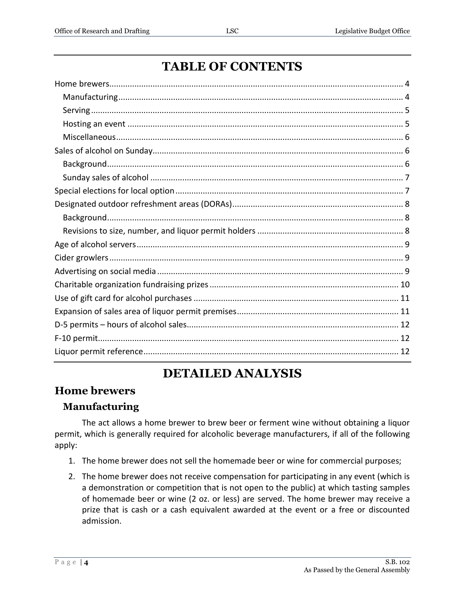# **TABLE OF CONTENTS**

# **DETAILED ANALYSIS**

### <span id="page-3-0"></span>**Home brewers**

### <span id="page-3-1"></span>**Manufacturing**

The act allows a home brewer to brew beer or ferment wine without obtaining a liquor permit, which is generally required for alcoholic beverage manufacturers, if all of the following apply:

- 1. The home brewer does not sell the homemade beer or wine for commercial purposes;
- 2. The home brewer does not receive compensation for participating in any event (which is a demonstration or competition that is not open to the public) at which tasting samples of homemade beer or wine (2 oz. or less) are served. The home brewer may receive a prize that is cash or a cash equivalent awarded at the event or a free or discounted admission.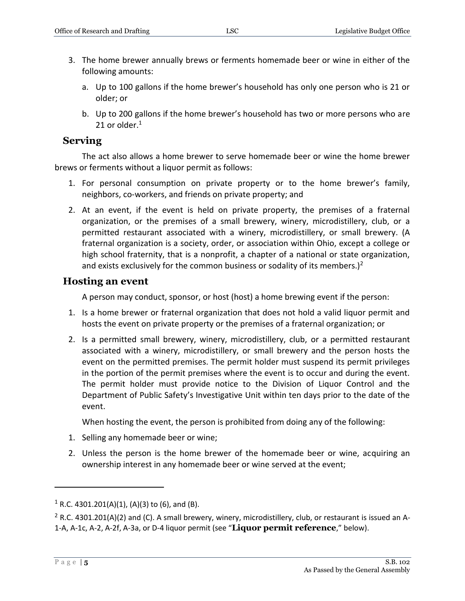- 3. The home brewer annually brews or ferments homemade beer or wine in either of the following amounts:
	- a. Up to 100 gallons if the home brewer's household has only one person who is 21 or older; or
	- b. Up to 200 gallons if the home brewer's household has two or more persons who are 21 or older. $<sup>1</sup>$ </sup>

#### <span id="page-4-0"></span>**Serving**

The act also allows a home brewer to serve homemade beer or wine the home brewer brews or ferments without a liquor permit as follows:

- 1. For personal consumption on private property or to the home brewer's family, neighbors, co-workers, and friends on private property; and
- 2. At an event, if the event is held on private property, the premises of a fraternal organization, or the premises of a small brewery, winery, microdistillery, club, or a permitted restaurant associated with a winery, microdistillery, or small brewery. (A fraternal organization is a society, order, or association within Ohio, except a college or high school fraternity, that is a nonprofit, a chapter of a national or state organization, and exists exclusively for the common business or sodality of its members.)<sup>2</sup>

#### <span id="page-4-1"></span>**Hosting an event**

A person may conduct, sponsor, or host (host) a home brewing event if the person:

- 1. Is a home brewer or fraternal organization that does not hold a valid liquor permit and hosts the event on private property or the premises of a fraternal organization; or
- 2. Is a permitted small brewery, winery, microdistillery, club, or a permitted restaurant associated with a winery, microdistillery, or small brewery and the person hosts the event on the permitted premises. The permit holder must suspend its permit privileges in the portion of the permit premises where the event is to occur and during the event. The permit holder must provide notice to the Division of Liquor Control and the Department of Public Safety's Investigative Unit within ten days prior to the date of the event.

When hosting the event, the person is prohibited from doing any of the following:

- 1. Selling any homemade beer or wine;
- 2. Unless the person is the home brewer of the homemade beer or wine, acquiring an ownership interest in any homemade beer or wine served at the event;

 $1$  R.C. 4301.201(A)(1), (A)(3) to (6), and (B).

 $2$  R.C. 4301.201(A)(2) and (C). A small brewery, winery, microdistillery, club, or restaurant is issued an A-1-A, A-1c, A-2, A-2f, A-3a, or D-4 liquor permit (see "**Liquor permit reference**," below).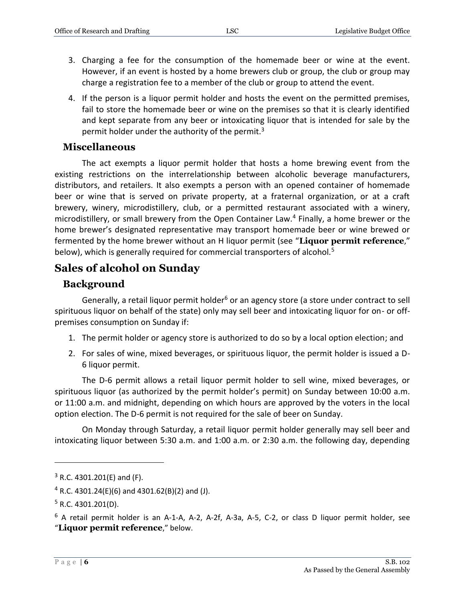- 3. Charging a fee for the consumption of the homemade beer or wine at the event. However, if an event is hosted by a home brewers club or group, the club or group may charge a registration fee to a member of the club or group to attend the event.
- 4. If the person is a liquor permit holder and hosts the event on the permitted premises, fail to store the homemade beer or wine on the premises so that it is clearly identified and kept separate from any beer or intoxicating liquor that is intended for sale by the permit holder under the authority of the permit.<sup>3</sup>

#### <span id="page-5-0"></span>**Miscellaneous**

The act exempts a liquor permit holder that hosts a home brewing event from the existing restrictions on the interrelationship between alcoholic beverage manufacturers, distributors, and retailers. It also exempts a person with an opened container of homemade beer or wine that is served on private property, at a fraternal organization, or at a craft brewery, winery, microdistillery, club, or a permitted restaurant associated with a winery, microdistillery, or small brewery from the Open Container Law.<sup>4</sup> Finally, a home brewer or the home brewer's designated representative may transport homemade beer or wine brewed or fermented by the home brewer without an H liquor permit (see "**Liquor permit reference**," below), which is generally required for commercial transporters of alcohol.<sup>5</sup>

### <span id="page-5-1"></span>**Sales of alcohol on Sunday**

#### <span id="page-5-2"></span>**Background**

Generally, a retail liquor permit holder<sup>6</sup> or an agency store (a store under contract to sell spirituous liquor on behalf of the state) only may sell beer and intoxicating liquor for on- or offpremises consumption on Sunday if:

- 1. The permit holder or agency store is authorized to do so by a local option election; and
- 2. For sales of wine, mixed beverages, or spirituous liquor, the permit holder is issued a D-6 liquor permit.

The D-6 permit allows a retail liquor permit holder to sell wine, mixed beverages, or spirituous liquor (as authorized by the permit holder's permit) on Sunday between 10:00 a.m. or 11:00 a.m. and midnight, depending on which hours are approved by the voters in the local option election. The D-6 permit is not required for the sale of beer on Sunday.

On Monday through Saturday, a retail liquor permit holder generally may sell beer and intoxicating liquor between 5:30 a.m. and 1:00 a.m. or 2:30 a.m. the following day, depending

 $3$  R.C. 4301.201(E) and (F).

 $4$  R.C. 4301.24(E)(6) and 4301.62(B)(2) and (J).

 $5$  R.C. 4301.201(D).

 $6$  A retail permit holder is an A-1-A, A-2, A-2f, A-3a, A-5, C-2, or class D liquor permit holder, see "**Liquor permit reference**," below.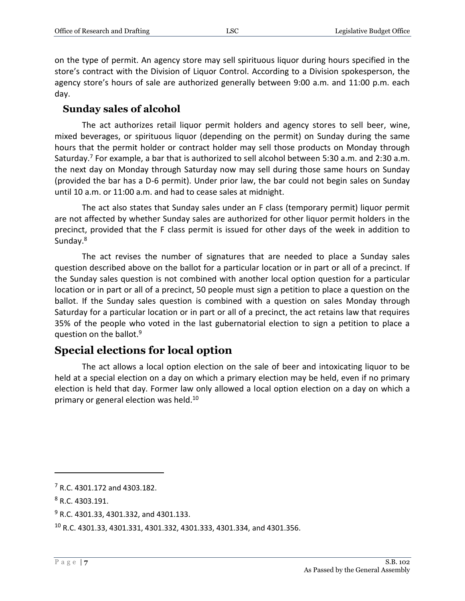on the type of permit. An agency store may sell spirituous liquor during hours specified in the store's contract with the Division of Liquor Control. According to a Division spokesperson, the agency store's hours of sale are authorized generally between 9:00 a.m. and 11:00 p.m. each day.

#### <span id="page-6-0"></span>**Sunday sales of alcohol**

The act authorizes retail liquor permit holders and agency stores to sell beer, wine, mixed beverages, or spirituous liquor (depending on the permit) on Sunday during the same hours that the permit holder or contract holder may sell those products on Monday through Saturday.<sup>7</sup> For example, a bar that is authorized to sell alcohol between 5:30 a.m. and 2:30 a.m. the next day on Monday through Saturday now may sell during those same hours on Sunday (provided the bar has a D-6 permit). Under prior law, the bar could not begin sales on Sunday until 10 a.m. or 11:00 a.m. and had to cease sales at midnight.

The act also states that Sunday sales under an F class (temporary permit) liquor permit are not affected by whether Sunday sales are authorized for other liquor permit holders in the precinct, provided that the F class permit is issued for other days of the week in addition to Sunday.<sup>8</sup>

The act revises the number of signatures that are needed to place a Sunday sales question described above on the ballot for a particular location or in part or all of a precinct. If the Sunday sales question is not combined with another local option question for a particular location or in part or all of a precinct, 50 people must sign a petition to place a question on the ballot. If the Sunday sales question is combined with a question on sales Monday through Saturday for a particular location or in part or all of a precinct, the act retains law that requires 35% of the people who voted in the last gubernatorial election to sign a petition to place a question on the ballot.<sup>9</sup>

### <span id="page-6-1"></span>**Special elections for local option**

The act allows a local option election on the sale of beer and intoxicating liquor to be held at a special election on a day on which a primary election may be held, even if no primary election is held that day. Former law only allowed a local option election on a day on which a primary or general election was held.<sup>10</sup>

<sup>7</sup> R.C. 4301.172 and 4303.182.

<sup>8</sup> R.C. 4303.191.

<sup>&</sup>lt;sup>9</sup> R.C. 4301.33, 4301.332, and 4301.133.

<sup>10</sup> R.C. 4301.33, 4301.331, 4301.332, 4301.333, 4301.334, and 4301.356.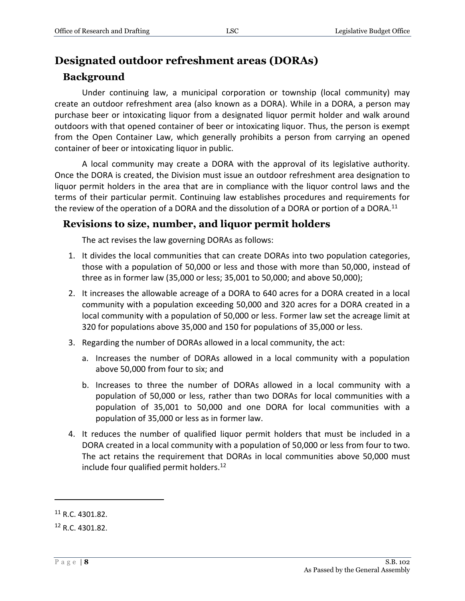### <span id="page-7-0"></span>**Designated outdoor refreshment areas (DORAs)**

#### <span id="page-7-1"></span>**Background**

Under continuing law, a municipal corporation or township (local community) may create an outdoor refreshment area (also known as a DORA). While in a DORA, a person may purchase beer or intoxicating liquor from a designated liquor permit holder and walk around outdoors with that opened container of beer or intoxicating liquor. Thus, the person is exempt from the Open Container Law, which generally prohibits a person from carrying an opened container of beer or intoxicating liquor in public.

A local community may create a DORA with the approval of its legislative authority. Once the DORA is created, the Division must issue an outdoor refreshment area designation to liquor permit holders in the area that are in compliance with the liquor control laws and the terms of their particular permit. Continuing law establishes procedures and requirements for the review of the operation of a DORA and the dissolution of a DORA or portion of a DORA.<sup>11</sup>

#### <span id="page-7-2"></span>**Revisions to size, number, and liquor permit holders**

The act revises the law governing DORAs as follows:

- 1. It divides the local communities that can create DORAs into two population categories, those with a population of 50,000 or less and those with more than 50,000, instead of three as in former law (35,000 or less; 35,001 to 50,000; and above 50,000);
- 2. It increases the allowable acreage of a DORA to 640 acres for a DORA created in a local community with a population exceeding 50,000 and 320 acres for a DORA created in a local community with a population of 50,000 or less. Former law set the acreage limit at 320 for populations above 35,000 and 150 for populations of 35,000 or less.
- 3. Regarding the number of DORAs allowed in a local community, the act:
	- a. Increases the number of DORAs allowed in a local community with a population above 50,000 from four to six; and
	- b. Increases to three the number of DORAs allowed in a local community with a population of 50,000 or less, rather than two DORAs for local communities with a population of 35,001 to 50,000 and one DORA for local communities with a population of 35,000 or less as in former law.
- 4. It reduces the number of qualified liquor permit holders that must be included in a DORA created in a local community with a population of 50,000 or less from four to two. The act retains the requirement that DORAs in local communities above 50,000 must include four qualified permit holders.<sup>12</sup>

<sup>11</sup> R.C. 4301.82.

<sup>12</sup> R.C. 4301.82.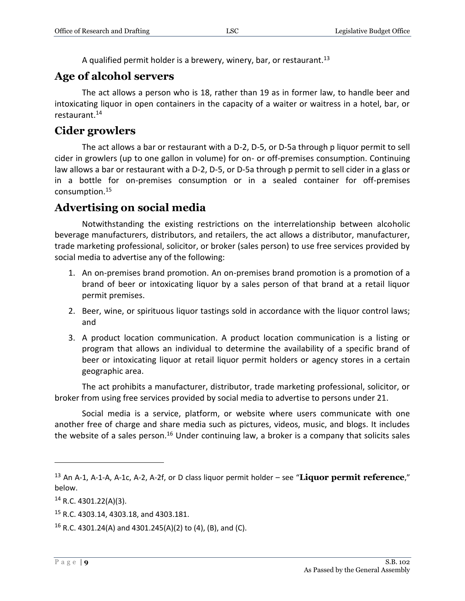A qualified permit holder is a brewery, winery, bar, or restaurant.<sup>13</sup>

### <span id="page-8-0"></span>**Age of alcohol servers**

The act allows a person who is 18, rather than 19 as in former law, to handle beer and intoxicating liquor in open containers in the capacity of a waiter or waitress in a hotel, bar, or restaurant.<sup>14</sup>

### <span id="page-8-1"></span>**Cider growlers**

The act allows a bar or restaurant with a D-2, D-5, or D-5a through p liquor permit to sell cider in growlers (up to one gallon in volume) for on- or off-premises consumption. Continuing law allows a bar or restaurant with a D-2, D-5, or D-5a through p permit to sell cider in a glass or in a bottle for on-premises consumption or in a sealed container for off-premises consumption.<sup>15</sup>

### <span id="page-8-2"></span>**Advertising on social media**

Notwithstanding the existing restrictions on the interrelationship between alcoholic beverage manufacturers, distributors, and retailers, the act allows a distributor, manufacturer, trade marketing professional, solicitor, or broker (sales person) to use free services provided by social media to advertise any of the following:

- 1. An on-premises brand promotion. An on-premises brand promotion is a promotion of a brand of beer or intoxicating liquor by a sales person of that brand at a retail liquor permit premises.
- 2. Beer, wine, or spirituous liquor tastings sold in accordance with the liquor control laws; and
- 3. A product location communication. A product location communication is a listing or program that allows an individual to determine the availability of a specific brand of beer or intoxicating liquor at retail liquor permit holders or agency stores in a certain geographic area.

The act prohibits a manufacturer, distributor, trade marketing professional, solicitor, or broker from using free services provided by social media to advertise to persons under 21.

Social media is a service, platform, or website where users communicate with one another free of charge and share media such as pictures, videos, music, and blogs. It includes the website of a sales person.<sup>16</sup> Under continuing law, a broker is a company that solicits sales

<sup>13</sup> An A-1, A-1-A, A-1c, A-2, A-2f, or D class liquor permit holder – see "**Liquor permit reference**," below.

<sup>14</sup> R.C. 4301.22(A)(3).

<sup>15</sup> R.C. 4303.14, 4303.18, and 4303.181.

<sup>&</sup>lt;sup>16</sup> R.C. 4301.24(A) and 4301.245(A)(2) to (4), (B), and (C).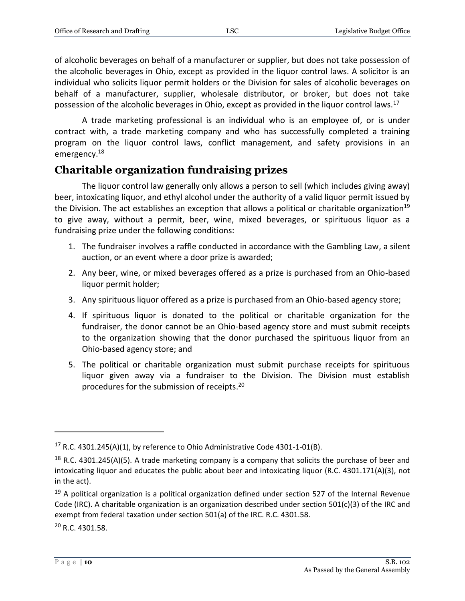of alcoholic beverages on behalf of a manufacturer or supplier, but does not take possession of the alcoholic beverages in Ohio, except as provided in the liquor control laws. A solicitor is an individual who solicits liquor permit holders or the Division for sales of alcoholic beverages on behalf of a manufacturer, supplier, wholesale distributor, or broker, but does not take possession of the alcoholic beverages in Ohio, except as provided in the liquor control laws.<sup>17</sup>

A trade marketing professional is an individual who is an employee of, or is under contract with, a trade marketing company and who has successfully completed a training program on the liquor control laws, conflict management, and safety provisions in an emergency.<sup>18</sup>

### <span id="page-9-0"></span>**Charitable organization fundraising prizes**

The liquor control law generally only allows a person to sell (which includes giving away) beer, intoxicating liquor, and ethyl alcohol under the authority of a valid liquor permit issued by the Division. The act establishes an exception that allows a political or charitable organization<sup>19</sup> to give away, without a permit, beer, wine, mixed beverages, or spirituous liquor as a fundraising prize under the following conditions:

- 1. The fundraiser involves a raffle conducted in accordance with the Gambling Law, a silent auction, or an event where a door prize is awarded;
- 2. Any beer, wine, or mixed beverages offered as a prize is purchased from an Ohio-based liquor permit holder;
- 3. Any spirituous liquor offered as a prize is purchased from an Ohio-based agency store;
- 4. If spirituous liquor is donated to the political or charitable organization for the fundraiser, the donor cannot be an Ohio-based agency store and must submit receipts to the organization showing that the donor purchased the spirituous liquor from an Ohio-based agency store; and
- 5. The political or charitable organization must submit purchase receipts for spirituous liquor given away via a fundraiser to the Division. The Division must establish procedures for the submission of receipts. 20

<sup>20</sup> R.C. 4301.58.

 $17$  R.C. 4301.245(A)(1), by reference to Ohio Administrative Code 4301-1-01(B).

<sup>&</sup>lt;sup>18</sup> R.C. 4301.245(A)(5). A trade marketing company is a company that solicits the purchase of beer and intoxicating liquor and educates the public about beer and intoxicating liquor (R.C. 4301.171(A)(3), not in the act).

 $19$  A political organization is a political organization defined under section 527 of the Internal Revenue Code (IRC). A charitable organization is an organization described under section 501(c)(3) of the IRC and exempt from federal taxation under section 501(a) of the IRC. R.C. 4301.58.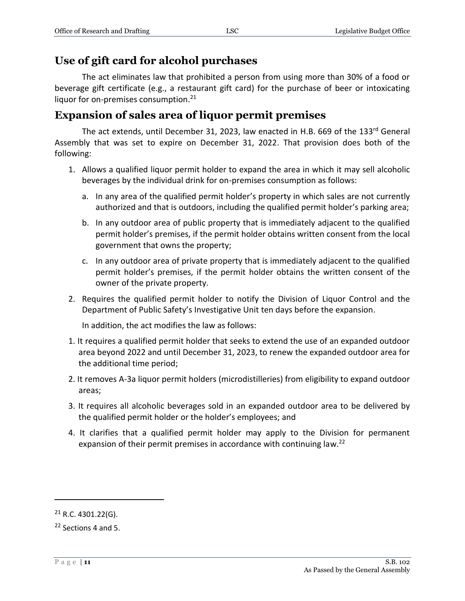### <span id="page-10-0"></span>**Use of gift card for alcohol purchases**

The act eliminates law that prohibited a person from using more than 30% of a food or beverage gift certificate (e.g., a restaurant gift card) for the purchase of beer or intoxicating liquor for on-premises consumption.<sup>21</sup>

### <span id="page-10-1"></span>**Expansion of sales area of liquor permit premises**

The act extends, until December 31, 2023, law enacted in H.B. 669 of the 133rd General Assembly that was set to expire on December 31, 2022. That provision does both of the following:

- 1. Allows a qualified liquor permit holder to expand the area in which it may sell alcoholic beverages by the individual drink for on-premises consumption as follows:
	- a. In any area of the qualified permit holder's property in which sales are not currently authorized and that is outdoors, including the qualified permit holder's parking area;
	- b. In any outdoor area of public property that is immediately adjacent to the qualified permit holder's premises, if the permit holder obtains written consent from the local government that owns the property;
	- c. In any outdoor area of private property that is immediately adjacent to the qualified permit holder's premises, if the permit holder obtains the written consent of the owner of the private property.
- 2. Requires the qualified permit holder to notify the Division of Liquor Control and the Department of Public Safety's Investigative Unit ten days before the expansion.

In addition, the act modifies the law as follows:

- 1. It requires a qualified permit holder that seeks to extend the use of an expanded outdoor area beyond 2022 and until December 31, 2023, to renew the expanded outdoor area for the additional time period;
- 2. It removes A-3a liquor permit holders (microdistilleries) from eligibility to expand outdoor areas;
- 3. It requires all alcoholic beverages sold in an expanded outdoor area to be delivered by the qualified permit holder or the holder's employees; and
- 4. It clarifies that a qualified permit holder may apply to the Division for permanent expansion of their permit premises in accordance with continuing law.<sup>22</sup>

 $21$  R.C. 4301.22(G).

<sup>22</sup> Sections 4 and 5.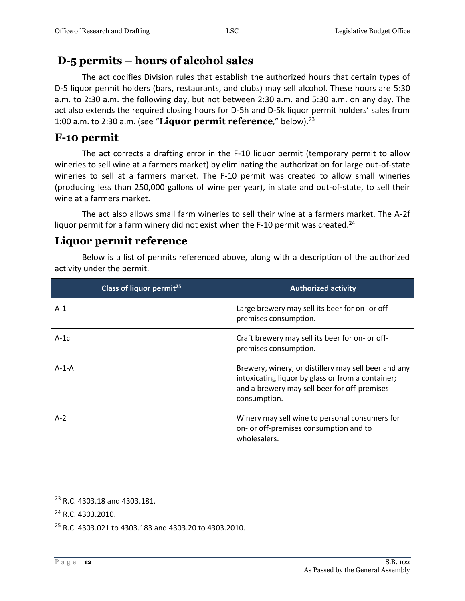### <span id="page-11-0"></span>**D-5 permits – hours of alcohol sales**

The act codifies Division rules that establish the authorized hours that certain types of D-5 liquor permit holders (bars, restaurants, and clubs) may sell alcohol. These hours are 5:30 a.m. to 2:30 a.m. the following day, but not between 2:30 a.m. and 5:30 a.m. on any day. The act also extends the required closing hours for D-5h and D-5k liquor permit holders' sales from 1:00 a.m. to 2:30 a.m. (see "**Liquor permit reference**," below).<sup>23</sup>

### <span id="page-11-1"></span>**F-10 permit**

The act corrects a drafting error in the F-10 liquor permit (temporary permit to allow wineries to sell wine at a farmers market) by eliminating the authorization for large out-of-state wineries to sell at a farmers market. The F-10 permit was created to allow small wineries (producing less than 250,000 gallons of wine per year), in state and out-of-state, to sell their wine at a farmers market.

The act also allows small farm wineries to sell their wine at a farmers market. The A-2f liquor permit for a farm winery did not exist when the F-10 permit was created.<sup>24</sup>

### <span id="page-11-2"></span>**Liquor permit reference**

Below is a list of permits referenced above, along with a description of the authorized activity under the permit.

| Class of liquor permit <sup>25</sup> | <b>Authorized activity</b>                                                                                                                                                |
|--------------------------------------|---------------------------------------------------------------------------------------------------------------------------------------------------------------------------|
| $A-1$                                | Large brewery may sell its beer for on- or off-<br>premises consumption.                                                                                                  |
| $A-1c$                               | Craft brewery may sell its beer for on- or off-<br>premises consumption.                                                                                                  |
| $A-1-A$                              | Brewery, winery, or distillery may sell beer and any<br>intoxicating liquor by glass or from a container;<br>and a brewery may sell beer for off-premises<br>consumption. |
| $A-2$                                | Winery may sell wine to personal consumers for<br>on- or off-premises consumption and to<br>wholesalers.                                                                  |

<sup>23</sup> R.C. 4303.18 and 4303.181.

<sup>&</sup>lt;sup>24</sup> R.C. 4303.2010.

<sup>25</sup> R.C. 4303.021 to 4303.183 and 4303.20 to 4303.2010.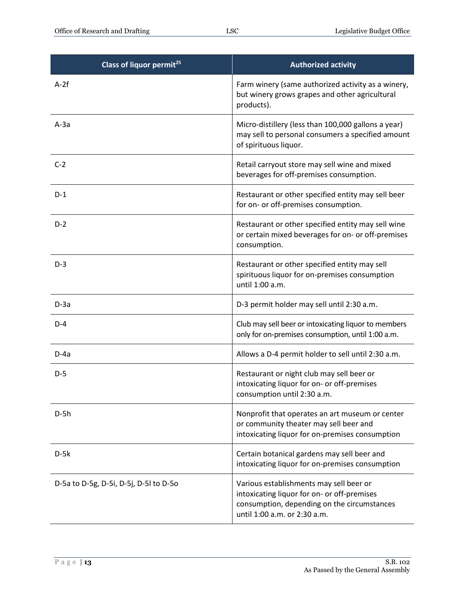| Class of liquor permit <sup>25</sup>   | <b>Authorized activity</b>                                                                                                                                            |
|----------------------------------------|-----------------------------------------------------------------------------------------------------------------------------------------------------------------------|
| $A-2f$                                 | Farm winery (same authorized activity as a winery,<br>but winery grows grapes and other agricultural<br>products).                                                    |
| $A-3a$                                 | Micro-distillery (less than 100,000 gallons a year)<br>may sell to personal consumers a specified amount<br>of spirituous liquor.                                     |
| $C-2$                                  | Retail carryout store may sell wine and mixed<br>beverages for off-premises consumption.                                                                              |
| $D-1$                                  | Restaurant or other specified entity may sell beer<br>for on- or off-premises consumption.                                                                            |
| $D-2$                                  | Restaurant or other specified entity may sell wine<br>or certain mixed beverages for on- or off-premises<br>consumption.                                              |
| $D-3$                                  | Restaurant or other specified entity may sell<br>spirituous liquor for on-premises consumption<br>until 1:00 a.m.                                                     |
| $D-3a$                                 | D-3 permit holder may sell until 2:30 a.m.                                                                                                                            |
| $D-4$                                  | Club may sell beer or intoxicating liquor to members<br>only for on-premises consumption, until 1:00 a.m.                                                             |
| $D-4a$                                 | Allows a D-4 permit holder to sell until 2:30 a.m.                                                                                                                    |
| $D-5$                                  | Restaurant or night club may sell beer or<br>intoxicating liquor for on- or off-premises<br>consumption until 2:30 a.m.                                               |
| $D-5h$                                 | Nonprofit that operates an art museum or center<br>or community theater may sell beer and<br>intoxicating liquor for on-premises consumption                          |
| $D-5k$                                 | Certain botanical gardens may sell beer and<br>intoxicating liquor for on-premises consumption                                                                        |
| D-5a to D-5g, D-5i, D-5j, D-5l to D-5o | Various establishments may sell beer or<br>intoxicating liquor for on- or off-premises<br>consumption, depending on the circumstances<br>until 1:00 a.m. or 2:30 a.m. |